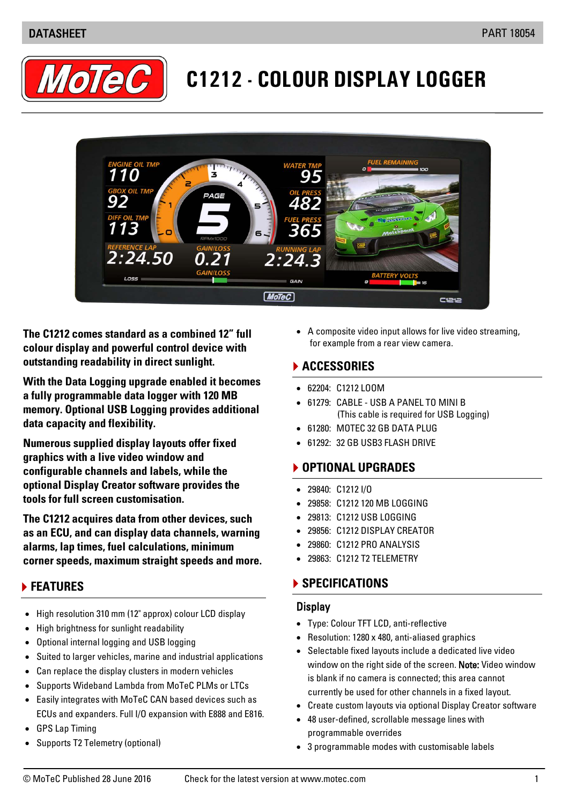

# **C1212 - COLOUR DISPLAY LOGGER**



**The C1212 comes standard as a combined 12" full colour display and powerful control device with outstanding readability in direct sunlight.**

**With the Data Logging upgrade enabled it becomes a fully programmable data logger with 120 MB memory. Optional USB Logging provides additional data capacity and flexibility.** 

**Numerous supplied display layouts offer fixed graphics with a live video window and configurable channels and labels, while the optional Display Creator software provides the tools for full screen customisation.** 

**The C1212 acquires data from other devices, such as an ECU, and can display data channels, warning alarms, lap times, fuel calculations, minimum corner speeds, maximum straight speeds and more.**

# **FEATURES**

- High resolution 310 mm (12" approx) colour LCD display
- High brightness for sunlight readability
- Optional internal logging and USB logging
- Suited to larger vehicles, marine and industrial applications
- Can replace the display clusters in modern vehicles
- Supports Wideband Lambda from MoTeC PLMs or LTCs
- Easily integrates with MoTeC CAN based devices such as ECUs and expanders. Full I/O expansion with E888 and E816.
- GPS Lap Timing
- Supports T2 Telemetry (optional)

• A composite video input allows for live video streaming, for example from a rear view camera.

#### **ACCESSORIES**

- 62204: C1212 LOOM
- 61279: CABLE USB A PANEL TO MINI B (This cable is required for USB Logging)
- 61280: MOTEC 32 GB DATA PLUG
- 61292: 32 GB USB3 FLASH DRIVE

# **OPTIONAL UPGRADES**

- 29840: C1212 I/O
- 29858: C1212 120 MB LOGGING
- 29813: C1212 USB LOGGING
- 29856: C1212 DISPLAY CREATOR
- 29860: C1212 PRO ANALYSIS
- 29863: C1212 T2 TELEMETRY

### **SPECIFICATIONS**

#### **Display**

- Type: Colour TFT LCD, anti-reflective
- Resolution: 1280 x 480, anti-aliased graphics
- Selectable fixed layouts include a dedicated live video window on the right side of the screen. Note: Video window is blank if no camera is connected; this area cannot currently be used for other channels in a fixed layout.
- Create custom layouts via optional Display Creator software
- 48 user-defined, scrollable message lines with programmable overrides
- 3 programmable modes with customisable labels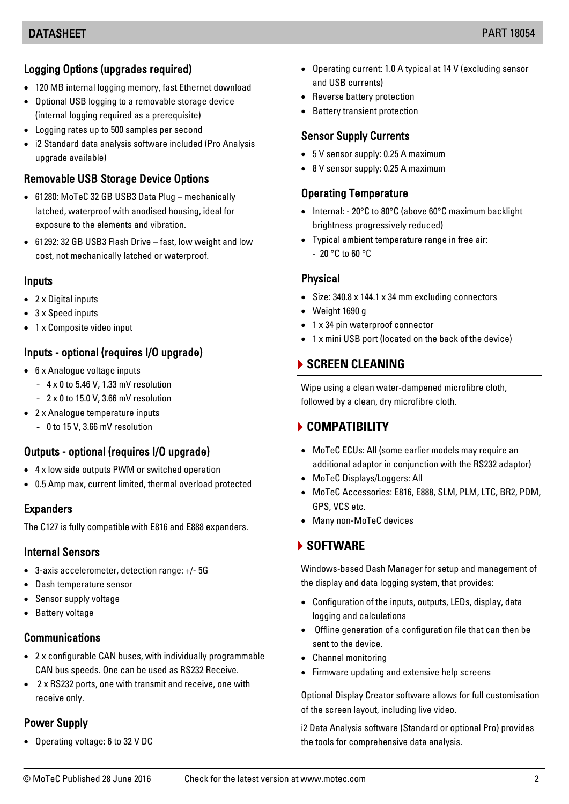#### $\overline{a}$ Logging Options (upgrades required)

- 120 MB internal logging memory, fast Ethernet download
- Optional USB logging to a removable storage device (internal logging required as a prerequisite)
- Logging rates up to 500 samples per second
- i2 Standard data analysis software included (Pro Analysis upgrade available)

# Removable USB Storage Device Options

- 61280: MoTeC 32 GB USB3 Data Plug mechanically latched, waterproof with anodised housing, ideal for exposure to the elements and vibration.
- 61292: 32 GB USB3 Flash Drive fast, low weight and low cost, not mechanically latched or waterproof.

#### Inputs

- 2 x Digital inputs
- 3 x Speed inputs
- 1 x Composite video input

# Inputs - optional (requires I/O upgrade)

- 6 x Analogue voltage inputs
	- 4 x 0 to 5.46 V, 1.33 mV resolution
	- 2 x 0 to 15.0 V, 3.66 mV resolution
- 2 x Analogue temperature inputs
	- 0 to 15 V, 3.66 mV resolution

### Outputs - optional (requires I/O upgrade)

- 4 x low side outputs PWM or switched operation
- 0.5 Amp max, current limited, thermal overload protected

### Expanders

The C127 is fully compatible with E816 and E888 expanders.

#### Internal Sensors

- 3-axis accelerometer, detection range: +/- 5G
- Dash temperature sensor
- Sensor supply voltage
- Battery voltage

### Communications

- 2 x configurable CAN buses, with individually programmable CAN bus speeds. One can be used as RS232 Receive.
- 2 x RS232 ports, one with transmit and receive, one with receive only.

# Power Supply

• Operating voltage: 6 to 32 V DC

- Operating current: 1.0 A typical at 14 V (excluding sensor and USB currents)
- Reverse battery protection
- Battery transient protection

#### Sensor Supply Currents

- 5 V sensor supply: 0.25 A maximum
- 8 V sensor supply: 0.25 A maximum

### Operating Temperature

- Internal: 20°C to 80°C (above 60°C maximum backlight brightness progressively reduced)
- Typical ambient temperature range in free air: - 20 °C to 60 °C

### **Physical**

- Size: 340.8 x 144.1 x 34 mm excluding connectors
- Weight 1690 g
- 1 x 34 pin waterproof connector
- 1 x mini USB port (located on the back of the device)

# **SCREEN CLEANING**

Wipe using a clean water-dampened microfibre cloth, followed by a clean, dry microfibre cloth.

# **COMPATIBILITY**

- MoTeC ECUs: All (some earlier models may require an additional adaptor in conjunction with the RS232 adaptor)
- MoTeC Displays/Loggers: All
- MoTeC Accessories: E816, E888, SLM, PLM, LTC, BR2, PDM, GPS, VCS etc.
- Many non-MoTeC devices

# **SOFTWARE**

Windows-based Dash Manager for setup and management of the display and data logging system, that provides:

- Configuration of the inputs, outputs, LEDs, display, data logging and calculations
- Offline generation of a configuration file that can then be sent to the device.
- Channel monitoring
- Firmware updating and extensive help screens

Optional Display Creator software allows for full customisation of the screen layout, including live video.

i2 Data Analysis software (Standard or optional Pro) provides the tools for comprehensive data analysis.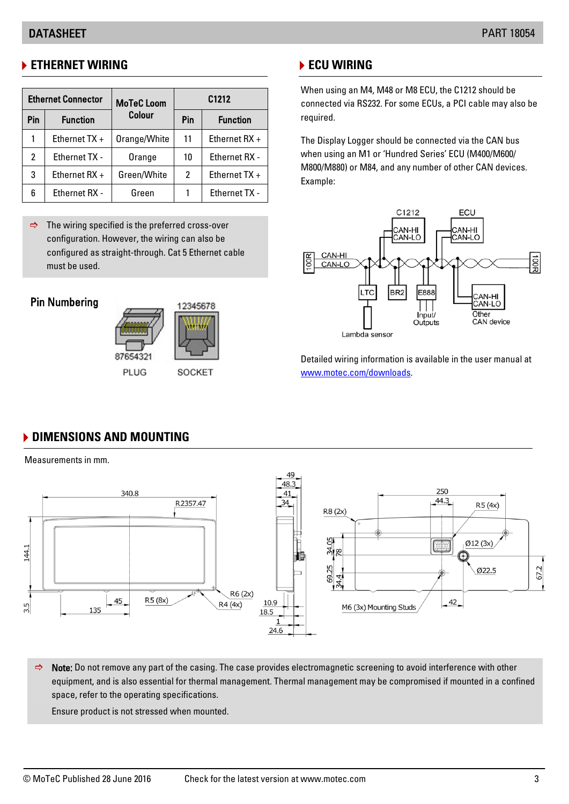# **ETHERNET WIRING**

| <b>Ethernet Connector</b> |                      | <b>MoTeC</b> Loom | C1212 |                      |
|---------------------------|----------------------|-------------------|-------|----------------------|
| Pin                       | <b>Function</b>      | <b>Colour</b>     | Pin   | <b>Function</b>      |
|                           | Ethernet $TX +$      | Orange/White      | 11    | Ethernet $RX +$      |
| $\mathbf{2}^{\prime}$     | <b>Ethernet TX -</b> | Orange            | 10    | <b>Ethernet RX -</b> |
| 3                         | Ethernet $RX +$      | Green/White       | 2     | Ethernet TX +        |
| 6                         | <b>Ethernet RX -</b> | Green             |       | <b>Ethernet TX -</b> |

 $\Rightarrow$  The wiring specified is the preferred cross-over configuration. However, the wiring can also be configured as straight-through. Cat 5 Ethernet cable must be used.

### Pin Numbering



# **ECU WIRING**

When using an M4, M48 or M8 ECU, the C1212 should be connected via RS232. For some ECUs, a PCI cable may also be required.

The Display Logger should be connected via the CAN bus when using an M1 or 'Hundred Series' ECU (M400/M600/ M800/M880) or M84, and any number of other CAN devices. Example:



Detailed wiring information is available in the user manual at [www.motec.com/downloads.](http://www.motec.com/downloads)

# **DIMENSIONS AND MOUNTING**

Measurements in mm.



 $\Rightarrow$  Note: Do not remove any part of the casing. The case provides electromagnetic screening to avoid interference with other equipment, and is also essential for thermal management. Thermal management may be compromised if mounted in a confined space, refer to the operating specifications.

Ensure product is not stressed when mounted.